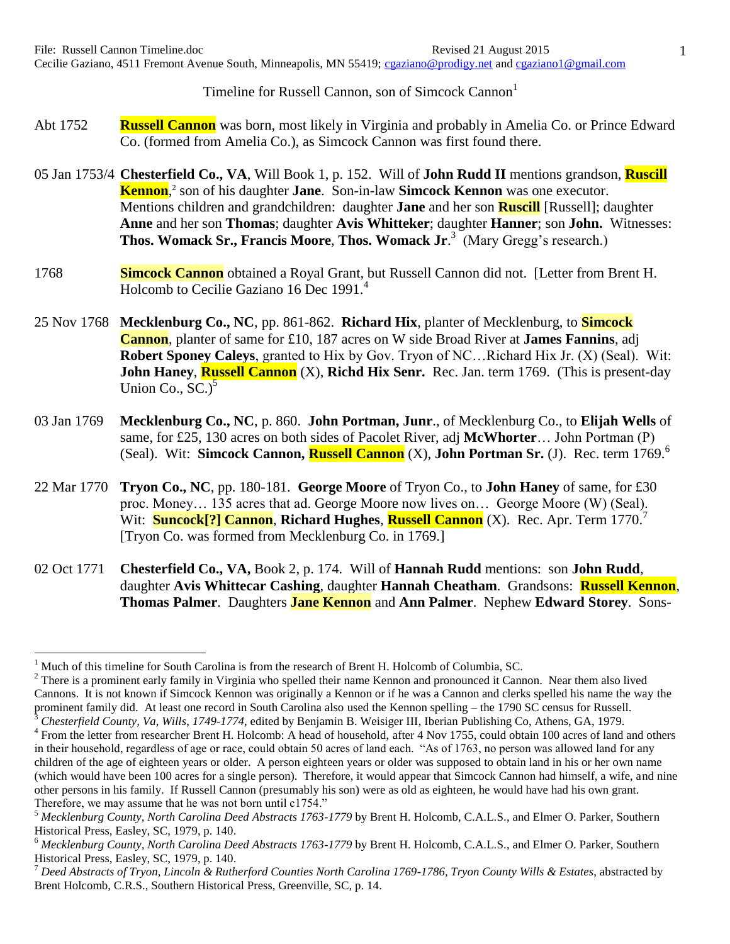Timeline for Russell Cannon, son of Simcock Cannon<sup>1</sup>

- Abt 1752 **Russell Cannon** was born, most likely in Virginia and probably in Amelia Co. or Prince Edward Co. (formed from Amelia Co.), as Simcock Cannon was first found there.
- 05 Jan 1753/4 **Chesterfield Co., VA**, Will Book 1, p. 152. Will of **John Rudd II** mentions grandson, **Ruscill Kennon**, 2 son of his daughter **Jane**. Son-in-law **Simcock Kennon** was one executor. Mentions children and grandchildren: daughter **Jane** and her son **Ruscill** [Russell]; daughter **Anne** and her son **Thomas**; daughter **Avis Whitteker**; daughter **Hanner**; son **John.** Witnesses: **Thos. Womack Sr., Francis Moore**, **Thos. Womack Jr**. 3 (Mary Gregg's research.)
- 1768 **Simcock Cannon** obtained a Royal Grant, but Russell Cannon did not. [Letter from Brent H. Holcomb to Cecilie Gaziano 16 Dec 1991.<sup>4</sup>
- 25 Nov 1768 **Mecklenburg Co., NC**, pp. 861-862. **Richard Hix**, planter of Mecklenburg, to **Simcock Cannon**, planter of same for £10, 187 acres on W side Broad River at **James Fannins**, adj **Robert Sponey Caleys**, granted to Hix by Gov. Tryon of NC…Richard Hix Jr. (X) (Seal). Wit: **John Haney, Russell Cannon** (X), Richd Hix Senr. Rec. Jan. term 1769. (This is present-day Union Co.,  $SC.<sup>5</sup>$
- 03 Jan 1769 **Mecklenburg Co., NC**, p. 860. **John Portman, Junr**., of Mecklenburg Co., to **Elijah Wells** of same, for £25, 130 acres on both sides of Pacolet River, adj **McWhorter**… John Portman (P) (Seal). Wit: **Simcock Cannon, Russell Cannon** (X), **John Portman Sr.** (J). Rec. term 1769.<sup>6</sup>
- 22 Mar 1770 **Tryon Co., NC**, pp. 180-181. **George Moore** of Tryon Co., to **John Haney** of same, for £30 proc. Money… 135 acres that ad. George Moore now lives on… George Moore (W) (Seal). Wit: **Suncock<sup>[?]</sup> Cannon**, **Richard Hughes**, **Russell Cannon** (X). Rec. Apr. Term 1770.<sup>7</sup> [Tryon Co. was formed from Mecklenburg Co. in 1769.]
- 02 Oct 1771 **Chesterfield Co., VA,** Book 2, p. 174. Will of **Hannah Rudd** mentions: son **John Rudd**, daughter **Avis Whittecar Cashing**, daughter **Hannah Cheatham**. Grandsons: **Russell Kennon**, **Thomas Palmer**. Daughters **Jane Kennon** and **Ann Palmer**. Nephew **Edward Storey**. Sons-

<sup>1</sup> Much of this timeline for South Carolina is from the research of Brent H. Holcomb of Columbia, SC.

 $2$  There is a prominent early family in Virginia who spelled their name Kennon and pronounced it Cannon. Near them also lived Cannons. It is not known if Simcock Kennon was originally a Kennon or if he was a Cannon and clerks spelled his name the way the prominent family did. At least one record in South Carolina also used the Kennon spelling – the 1790 SC census for Russell. <sup>3</sup> *Chesterfield County, Va, Wills*, *1749-1774*, edited by Benjamin B. Weisiger III, Iberian Publishing Co, Athens, GA, 1979.

<sup>&</sup>lt;sup>4</sup> From the letter from researcher Brent H. Holcomb: A head of household, after 4 Nov 1755, could obtain 100 acres of land and others in their household, regardless of age or race, could obtain 50 acres of land each. "As of 1763, no person was allowed land for any children of the age of eighteen years or older. A person eighteen years or older was supposed to obtain land in his or her own name (which would have been 100 acres for a single person). Therefore, it would appear that Simcock Cannon had himself, a wife, and nine other persons in his family. If Russell Cannon (presumably his son) were as old as eighteen, he would have had his own grant. Therefore, we may assume that he was not born until c1754."

<sup>5</sup> *Mecklenburg County, North Carolina Deed Abstracts 1763-1779* by Brent H. Holcomb, C.A.L.S., and Elmer O. Parker, Southern Historical Press, Easley, SC, 1979, p. 140.

<sup>6</sup> *Mecklenburg County, North Carolina Deed Abstracts 1763-1779* by Brent H. Holcomb, C.A.L.S., and Elmer O. Parker, Southern Historical Press, Easley, SC, 1979, p. 140.

<sup>7</sup> *Deed Abstracts of Tryon, Lincoln & Rutherford Counties North Carolina 1769-1786, Tryon County Wills & Estates*, abstracted by Brent Holcomb, C.R.S., Southern Historical Press, Greenville, SC, p. 14.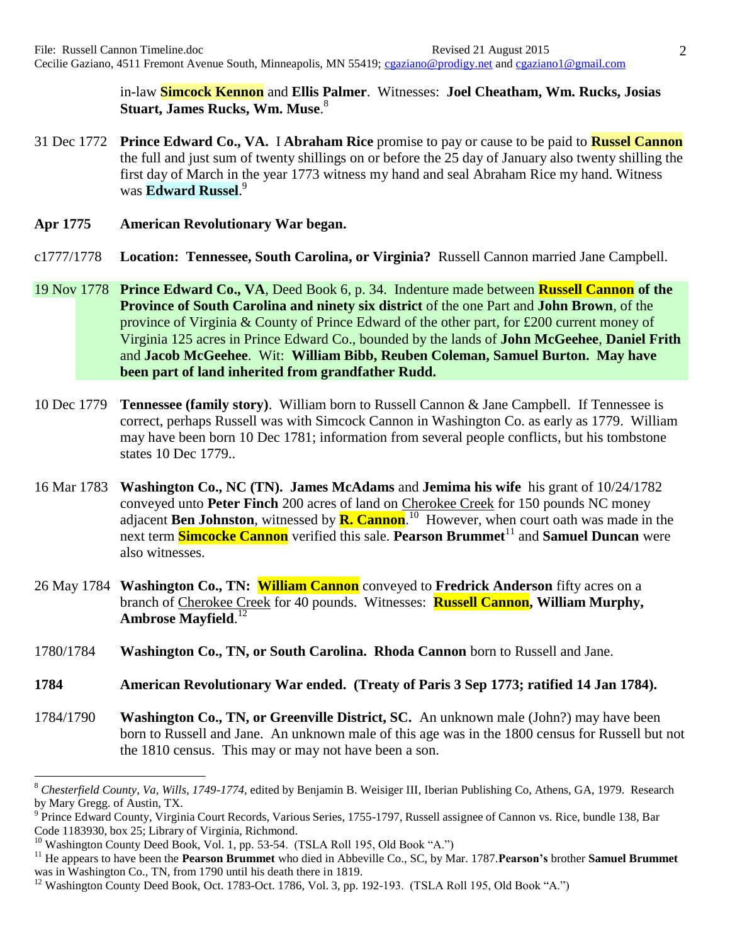in-law **Simcock Kennon** and **Ellis Palmer**. Witnesses: **Joel Cheatham, Wm. Rucks, Josias Stuart, James Rucks, Wm. Muse**. 8

- 31 Dec 1772 **Prince Edward Co., VA.** I **Abraham Rice** promise to pay or cause to be paid to **Russel Cannon** the full and just sum of twenty shillings on or before the 25 day of January also twenty shilling the first day of March in the year 1773 witness my hand and seal Abraham Rice my hand. Witness was **Edward Russel**. 9
- **Apr 1775 American Revolutionary War began.**
- c1777/1778 **Location: Tennessee, South Carolina, or Virginia?** Russell Cannon married Jane Campbell.
- 19 Nov 1778 **Prince Edward Co., VA**, Deed Book 6, p. 34. Indenture made between **Russell Cannon of the Province of South Carolina and ninety six district** of the one Part and **John Brown**, of the province of Virginia & County of Prince Edward of the other part, for £200 current money of Virginia 125 acres in Prince Edward Co., bounded by the lands of **John McGeehee**, **Daniel Frith** and **Jacob McGeehee**. Wit: **William Bibb, Reuben Coleman, Samuel Burton. May have been part of land inherited from grandfather Rudd.**
- 10 Dec 1779 **Tennessee (family story)**. William born to Russell Cannon & Jane Campbell. If Tennessee is correct, perhaps Russell was with Simcock Cannon in Washington Co. as early as 1779. William may have been born 10 Dec 1781; information from several people conflicts, but his tombstone states 10 Dec 1779..
- 16 Mar 1783 **Washington Co., NC (TN). James McAdams** and **Jemima his wife** his grant of 10/24/1782 conveyed unto **Peter Finch** 200 acres of land on Cherokee Creek for 150 pounds NC money adjacent **Ben Johnston**, witnessed by **R. Cannon**.<sup>10</sup> However, when court oath was made in the next term **Simcocke Cannon** verified this sale. **Pearson Brummet**<sup>11</sup> and **Samuel Duncan** were also witnesses.
- 26 May 1784 **Washington Co., TN: William Cannon** conveyed to **Fredrick Anderson** fifty acres on a branch of Cherokee Creek for 40 pounds. Witnesses: **Russell Cannon, William Murphy, Ambrose Mayfield**. 12
- 1780/1784 **Washington Co., TN, or South Carolina. Rhoda Cannon** born to Russell and Jane.
- **1784 American Revolutionary War ended. (Treaty of Paris 3 Sep 1773; ratified 14 Jan 1784).**
- 1784/1790 **Washington Co., TN, or Greenville District, SC.** An unknown male (John?) may have been born to Russell and Jane. An unknown male of this age was in the 1800 census for Russell but not the 1810 census. This may or may not have been a son.

<sup>8</sup> *Chesterfield County, Va, Wills, 1749-1774*, edited by Benjamin B. Weisiger III, Iberian Publishing Co, Athens, GA, 1979. Research by Mary Gregg. of Austin, TX.

<sup>&</sup>lt;sup>9</sup> Prince Edward County, Virginia Court Records, Various Series, 1755-1797, Russell assignee of Cannon vs. Rice, bundle 138, Bar Code 1183930, box 25; Library of Virginia, Richmond.

<sup>&</sup>lt;sup>10</sup> Washington County Deed Book, Vol. 1, pp. 53-54. (TSLA Roll 195, Old Book "A.")

<sup>11</sup> He appears to have been the **Pearson Brummet** who died in Abbeville Co., SC, by Mar. 1787.**Pearson's** brother **Samuel Brummet** was in Washington Co., TN, from 1790 until his death there in 1819.

<sup>&</sup>lt;sup>12</sup> Washington County Deed Book, Oct. 1783-Oct. 1786, Vol. 3, pp. 192-193. (TSLA Roll 195, Old Book "A.")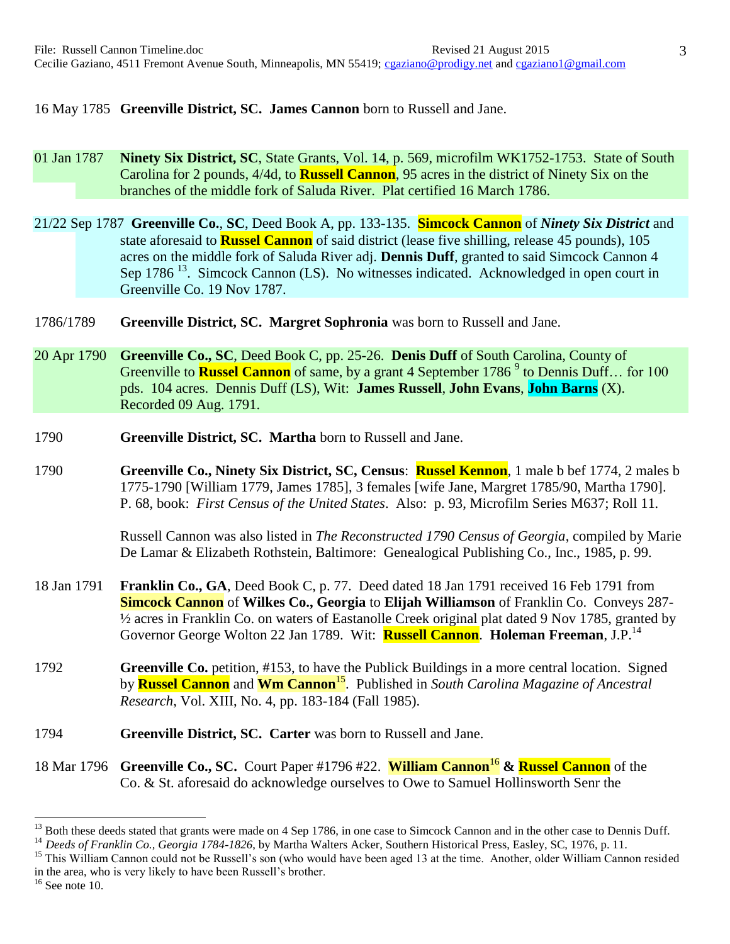16 May 1785 **Greenville District, SC. James Cannon** born to Russell and Jane.

01 Jan 1787 **Ninety Six District, SC**, State Grants, Vol. 14, p. 569, microfilm WK1752-1753. State of South Carolina for 2 pounds, 4/4d, to **Russell Cannon**, 95 acres in the district of Ninety Six on the branches of the middle fork of Saluda River. Plat certified 16 March 1786.

21/22 Sep 1787 **Greenville Co.**, **SC**, Deed Book A, pp. 133-135. **Simcock Cannon** of *Ninety Six District* and state aforesaid to **Russel Cannon** of said district (lease five shilling, release 45 pounds), 105 acres on the middle fork of Saluda River adj. **Dennis Duff**, granted to said Simcock Cannon 4 Sep 1786<sup>13</sup>. Simcock Cannon (LS). No witnesses indicated. Acknowledged in open court in Greenville Co. 19 Nov 1787.

- 1786/1789 **Greenville District, SC. Margret Sophronia** was born to Russell and Jane.
- 20 Apr 1790 **Greenville Co., SC**, Deed Book C, pp. 25-26. **Denis Duff** of South Carolina, County of Greenville to **Russel Cannon** of same, by a grant 4 September 1786<sup>9</sup> to Dennis Duff... for 100 pds. 104 acres. Dennis Duff (LS), Wit: **James Russell**, **John Evans**, **John Barns** (X). Recorded 09 Aug. 1791.
- 1790 **Greenville District, SC. Martha** born to Russell and Jane.
- 1790 **Greenville Co., Ninety Six District, SC, Census**: **Russel Kennon**, 1 male b bef 1774, 2 males b 1775-1790 [William 1779, James 1785], 3 females [wife Jane, Margret 1785/90, Martha 1790]. P. 68, book: *First Census of the United States*. Also: p. 93, Microfilm Series M637; Roll 11*.*

Russell Cannon was also listed in *The Reconstructed 1790 Census of Georgia*, compiled by Marie De Lamar & Elizabeth Rothstein, Baltimore: Genealogical Publishing Co., Inc., 1985, p. 99.

- 18 Jan 1791 **Franklin Co., GA**, Deed Book C, p. 77. Deed dated 18 Jan 1791 received 16 Feb 1791 from **Simcock Cannon** of **Wilkes Co., Georgia** to **Elijah Williamson** of Franklin Co. Conveys 287- ½ acres in Franklin Co. on waters of Eastanolle Creek original plat dated 9 Nov 1785, granted by Governor George Wolton 22 Jan 1789. Wit: **Russell Cannon**. **Holeman Freeman**, J.P.<sup>14</sup>
- 1792 **Greenville Co.** petition, #153, to have the Publick Buildings in a more central location. Signed by **Russel Cannon** and **Wm Cannon**<sup>15</sup> . Published in *South Carolina Magazine of Ancestral Research*, Vol. XIII, No. 4, pp. 183-184 (Fall 1985).
- 1794 **Greenville District, SC. Carter** was born to Russell and Jane.
- 18 Mar 1796 **Greenville Co., SC.** Court Paper #1796 #22. **William Cannon**<sup>16</sup> **& Russel Cannon** of the Co. & St. aforesaid do acknowledge ourselves to Owe to Samuel Hollinsworth Senr the

<sup>&</sup>lt;sup>13</sup> Both these deeds stated that grants were made on 4 Sep 1786, in one case to Simcock Cannon and in the other case to Dennis Duff.

<sup>&</sup>lt;sup>14</sup> Deeds of Franklin Co., Georgia 1784-1826, by Martha Walters Acker, Southern Historical Press, Easley, SC, 1976, p. 11.

<sup>&</sup>lt;sup>15</sup> This William Cannon could not be Russell's son (who would have been aged 13 at the time. Another, older William Cannon resided in the area, who is very likely to have been Russell's brother.

 $16$  See note 10.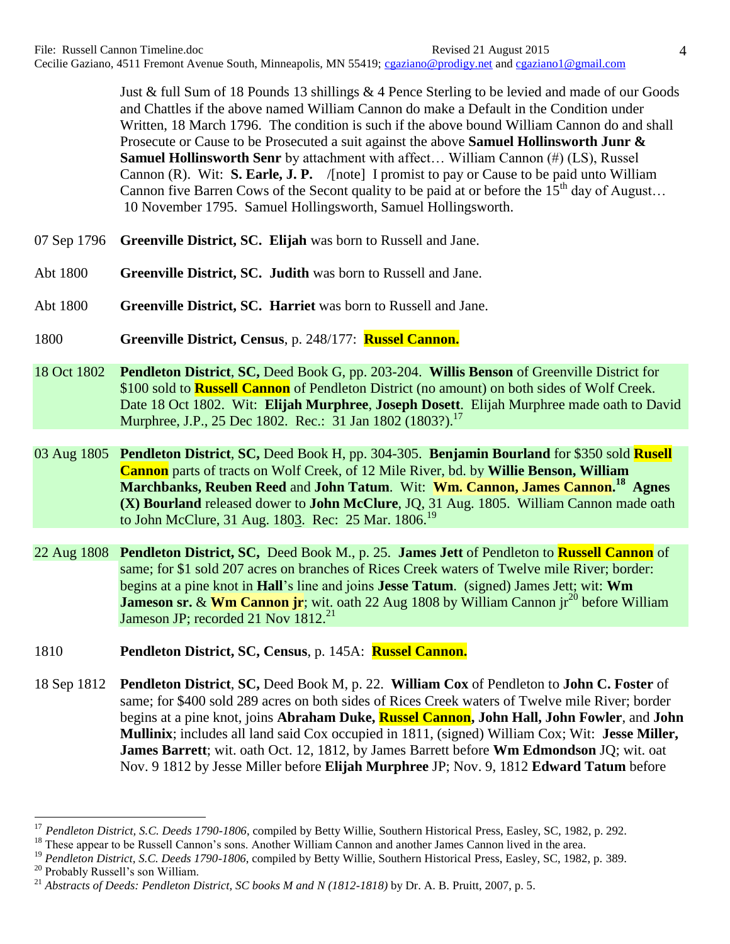Just & full Sum of 18 Pounds 13 shillings & 4 Pence Sterling to be levied and made of our Goods and Chattles if the above named William Cannon do make a Default in the Condition under Written, 18 March 1796. The condition is such if the above bound William Cannon do and shall Prosecute or Cause to be Prosecuted a suit against the above **Samuel Hollinsworth Junr & Samuel Hollinsworth Senr** by attachment with affect… William Cannon (#) (LS), Russel Cannon (R). Wit: **S. Earle, J. P.** /[note] I promist to pay or Cause to be paid unto William Cannon five Barren Cows of the Secont quality to be paid at or before the  $15<sup>th</sup>$  day of August... 10 November 1795. Samuel Hollingsworth, Samuel Hollingsworth.

- 07 Sep 1796 **Greenville District, SC. Elijah** was born to Russell and Jane.
- Abt 1800 **Greenville District, SC. Judith** was born to Russell and Jane.
- Abt 1800 **Greenville District, SC. Harriet** was born to Russell and Jane.
- 1800 **Greenville District, Census**, p. 248/177: **Russel Cannon.**
- 18 Oct 1802 **Pendleton District**, **SC,** Deed Book G, pp. 203-204. **Willis Benson** of Greenville District for \$100 sold to **Russell Cannon** of Pendleton District (no amount) on both sides of Wolf Creek. Date 18 Oct 1802. Wit: **Elijah Murphree**, **Joseph Dosett**. Elijah Murphree made oath to David Murphree, J.P., 25 Dec 1802. Rec.: 31 Jan 1802 (1803?).<sup>17</sup>
- 03 Aug 1805 **Pendleton District**, **SC,** Deed Book H, pp. 304-305. **Benjamin Bourland** for \$350 sold **Rusell Cannon** parts of tracts on Wolf Creek, of 12 Mile River, bd. by **Willie Benson, William Marchbanks, Reuben Reed and John Tatum. Wit: Wm. Cannon, James Cannon.<sup>18</sup> Agnes (X) Bourland** released dower to **John McClure**, JQ, 31 Aug. 1805. William Cannon made oath to John McClure, 31 Aug. 1803. Rec: 25 Mar,  $1806$ <sup>19</sup>
- 22 Aug 1808 **Pendleton District, SC,** Deed Book M., p. 25. **James Jett** of Pendleton to **Russell Cannon** of same; for \$1 sold 207 acres on branches of Rices Creek waters of Twelve mile River; border: begins at a pine knot in **Hall**'s line and joins **Jesse Tatum**. (signed) James Jett; wit: **Wm Jameson sr. & Wm Cannon jr**; wit. oath 22 Aug 1808 by William Cannon jr<sup>20</sup> before William Jameson JP; recorded 21 Nov 1812.<sup>21</sup>
- 1810 **Pendleton District, SC, Census**, p. 145A: **Russel Cannon.**
- 18 Sep 1812 **Pendleton District**, **SC,** Deed Book M, p. 22. **William Cox** of Pendleton to **John C. Foster** of same; for \$400 sold 289 acres on both sides of Rices Creek waters of Twelve mile River; border begins at a pine knot, joins **Abraham Duke, Russel Cannon, John Hall, John Fowler**, and **John Mullinix**; includes all land said Cox occupied in 1811, (signed) William Cox; Wit: **Jesse Miller, James Barrett**; wit. oath Oct. 12, 1812, by James Barrett before **Wm Edmondson** JQ; wit. oat Nov. 9 1812 by Jesse Miller before **Elijah Murphree** JP; Nov. 9, 1812 **Edward Tatum** before

<sup>17</sup> *Pendleton District, S.C. Deeds 1790-1806*, compiled by Betty Willie, Southern Historical Press, Easley, SC, 1982, p. 292.

<sup>&</sup>lt;sup>18</sup> These appear to be Russell Cannon's sons. Another William Cannon and another James Cannon lived in the area.

<sup>&</sup>lt;sup>19</sup> Pendleton District, S.C. Deeds 1790-1806, compiled by Betty Willie, Southern Historical Press, Easley, SC, 1982, p. 389.

<sup>20</sup> Probably Russell's son William.

<sup>21</sup> *Abstracts of Deeds: Pendleton District, SC books M and N (1812-1818)* by Dr. A. B. Pruitt, 2007, p. 5.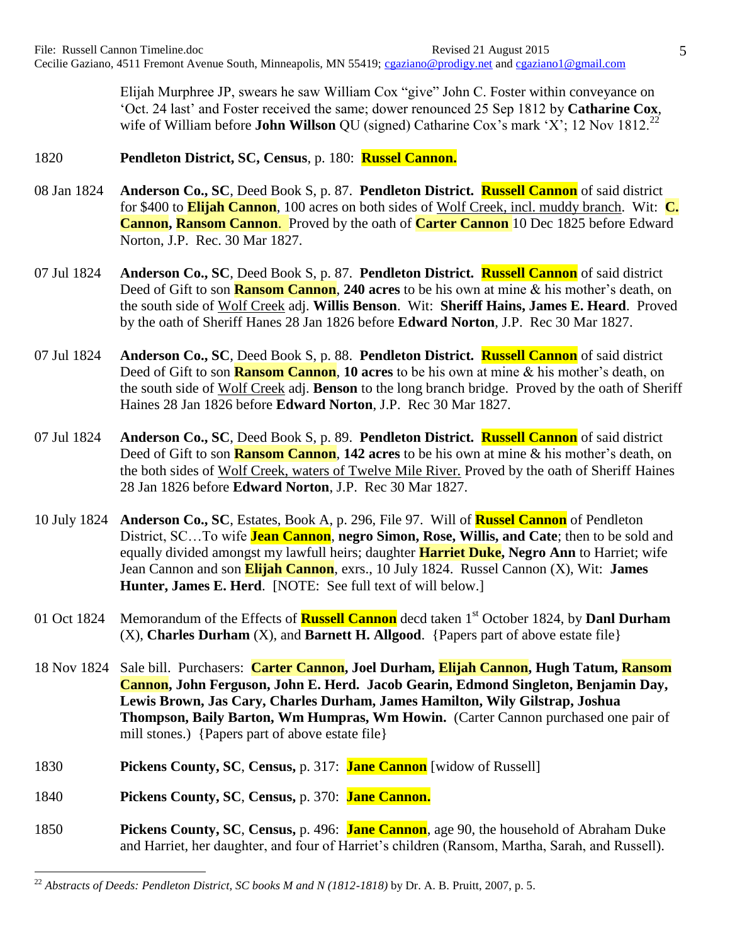Elijah Murphree JP, swears he saw William Cox "give" John C. Foster within conveyance on 'Oct. 24 last' and Foster received the same; dower renounced 25 Sep 1812 by **Catharine Cox**, wife of William before **John Willson** QU (signed) Catharine Cox's mark 'X'; 12 Nov 1812.<sup>22</sup>

## 1820 **Pendleton District, SC, Census**, p. 180: **Russel Cannon.**

- 08 Jan 1824 **Anderson Co., SC**, Deed Book S, p. 87. **Pendleton District. Russell Cannon** of said district for \$400 to **Elijah Cannon**, 100 acres on both sides of Wolf Creek, incl. muddy branch. Wit: **C. Cannon, Ransom Cannon**. Proved by the oath of **Carter Cannon** 10 Dec 1825 before Edward Norton, J.P. Rec. 30 Mar 1827.
- 07 Jul 1824 **Anderson Co., SC**, Deed Book S, p. 87. **Pendleton District. Russell Cannon** of said district Deed of Gift to son **Ransom Cannon**, **240 acres** to be his own at mine & his mother's death, on the south side of Wolf Creek adj. **Willis Benson**. Wit: **Sheriff Hains, James E. Heard**. Proved by the oath of Sheriff Hanes 28 Jan 1826 before **Edward Norton**, J.P. Rec 30 Mar 1827.
- 07 Jul 1824 **Anderson Co., SC**, Deed Book S, p. 88. **Pendleton District. Russell Cannon** of said district Deed of Gift to son **Ransom Cannon**, **10 acres** to be his own at mine & his mother's death, on the south side of Wolf Creek adj. **Benson** to the long branch bridge. Proved by the oath of Sheriff Haines 28 Jan 1826 before **Edward Norton**, J.P. Rec 30 Mar 1827.
- 07 Jul 1824 **Anderson Co., SC**, Deed Book S, p. 89. **Pendleton District. Russell Cannon** of said district Deed of Gift to son **Ransom Cannon**, **142 acres** to be his own at mine & his mother's death, on the both sides of Wolf Creek, waters of Twelve Mile River. Proved by the oath of Sheriff Haines 28 Jan 1826 before **Edward Norton**, J.P. Rec 30 Mar 1827.
- 10 July 1824 **Anderson Co., SC**, Estates, Book A, p. 296, File 97. Will of **Russel Cannon** of Pendleton District, SC…To wife **Jean Cannon**, **negro Simon, Rose, Willis, and Cate**; then to be sold and equally divided amongst my lawfull heirs; daughter **Harriet Duke, Negro Ann** to Harriet; wife Jean Cannon and son **Elijah Cannon**, exrs., 10 July 1824. Russel Cannon (X), Wit: **James Hunter, James E. Herd.** [NOTE: See full text of will below.]
- 01 Oct 1824 Memorandum of the Effects of **Russell Cannon** decd taken 1st October 1824, by **Danl Durham** (X), **Charles Durham** (X), and **Barnett H. Allgood**. {Papers part of above estate file}
- 18 Nov 1824 Sale bill. Purchasers: **Carter Cannon, Joel Durham, Elijah Cannon, Hugh Tatum, Ransom Cannon, John Ferguson, John E. Herd. Jacob Gearin, Edmond Singleton, Benjamin Day, Lewis Brown, Jas Cary, Charles Durham, James Hamilton, Wily Gilstrap, Joshua Thompson, Baily Barton, Wm Humpras, Wm Howin.** (Carter Cannon purchased one pair of mill stones.) {Papers part of above estate file}
- 1830 **Pickens County, SC**, **Census,** p. 317: **Jane Cannon** [widow of Russell]
- 1840 **Pickens County, SC**, **Census,** p. 370: **Jane Cannon.**

 $\overline{a}$ 

1850 **Pickens County, SC**, **Census,** p. 496: **Jane Cannon**, age 90, the household of Abraham Duke and Harriet, her daughter, and four of Harriet's children (Ransom, Martha, Sarah, and Russell).

<sup>22</sup> *Abstracts of Deeds: Pendleton District, SC books M and N (1812-1818)* by Dr. A. B. Pruitt, 2007, p. 5.